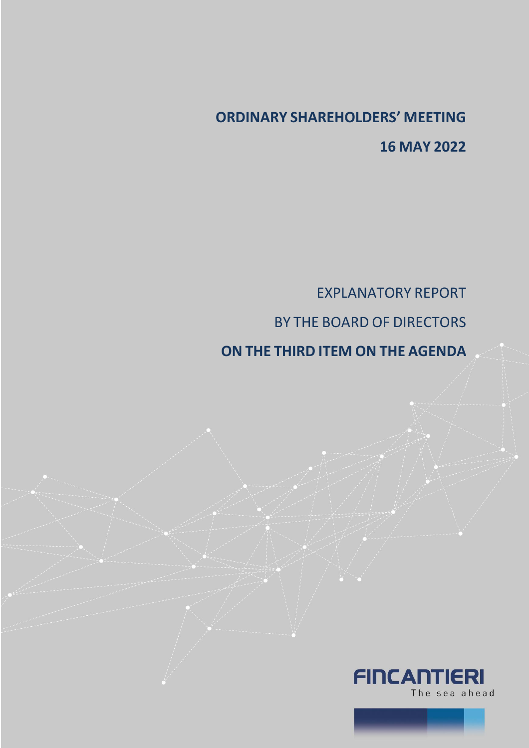# **ORDINARY SHAREHOLDERS' MEETING 16 MAY 2022**

EXPLANATORY REPORT BY THE BOARD OF DIRECTORS

# **ON THE THIRD ITEM ON THE AGENDA**

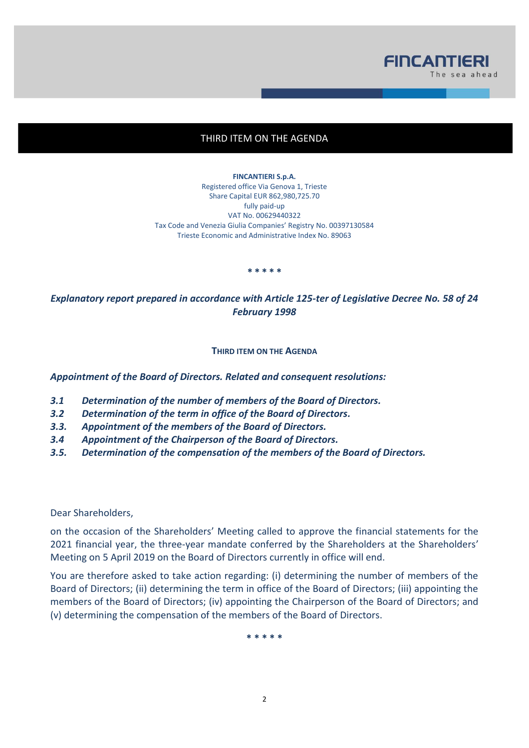

## THIRD ITEM ON THE AGENDA

**FINCANTIERI S.p.A.** Registered office Via Genova 1, Trieste Share Capital EUR 862,980,725.70 fully paid-up VAT No. 00629440322 Tax Code and Venezia Giulia Companies' Registry No. 00397130584 Trieste Economic and Administrative Index No. 89063

**\* \* \* \* \***

*Explanatory report prepared in accordance with Article 125-ter of Legislative Decree No. 58 of 24 February 1998*

#### **THIRD ITEM ON THE AGENDA**

*Appointment of the Board of Directors. Related and consequent resolutions:*

- *3.1 Determination of the number of members of the Board of Directors.*
- *3.2 Determination of the term in office of the Board of Directors.*
- *3.3. Appointment of the members of the Board of Directors.*
- *3.4 Appointment of the Chairperson of the Board of Directors.*
- *3.5. Determination of the compensation of the members of the Board of Directors.*

Dear Shareholders,

on the occasion of the Shareholders' Meeting called to approve the financial statements for the 2021 financial year, the three-year mandate conferred by the Shareholders at the Shareholders' Meeting on 5 April 2019 on the Board of Directors currently in office will end.

You are therefore asked to take action regarding: (i) determining the number of members of the Board of Directors; (ii) determining the term in office of the Board of Directors; (iii) appointing the members of the Board of Directors; (iv) appointing the Chairperson of the Board of Directors; and (v) determining the compensation of the members of the Board of Directors.

**\* \* \* \* \***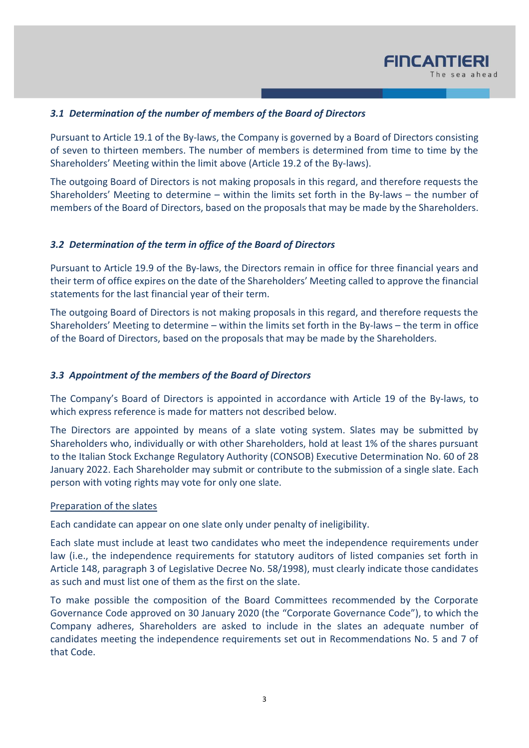

# *3.1 Determination of the number of members of the Board of Directors*

Pursuant to Article 19.1 of the By-laws, the Company is governed by a Board of Directors consisting of seven to thirteen members. The number of members is determined from time to time by the Shareholders' Meeting within the limit above (Article 19.2 of the By-laws).

The outgoing Board of Directors is not making proposals in this regard, and therefore requests the Shareholders' Meeting to determine – within the limits set forth in the By-laws – the number of members of the Board of Directors, based on the proposals that may be made by the Shareholders.

#### *3.2 Determination of the term in office of the Board of Directors*

Pursuant to Article 19.9 of the By-laws, the Directors remain in office for three financial years and their term of office expires on the date of the Shareholders' Meeting called to approve the financial statements for the last financial year of their term.

The outgoing Board of Directors is not making proposals in this regard, and therefore requests the Shareholders' Meeting to determine – within the limits set forth in the By-laws – the term in office of the Board of Directors, based on the proposals that may be made by the Shareholders.

#### *3.3 Appointment of the members of the Board of Directors*

The Company's Board of Directors is appointed in accordance with Article 19 of the By-laws, to which express reference is made for matters not described below.

The Directors are appointed by means of a slate voting system. Slates may be submitted by Shareholders who, individually or with other Shareholders, hold at least 1% of the shares pursuant to the Italian Stock Exchange Regulatory Authority (CONSOB) Executive Determination No. 60 of 28 January 2022. Each Shareholder may submit or contribute to the submission of a single slate. Each person with voting rights may vote for only one slate.

#### Preparation of the slates

Each candidate can appear on one slate only under penalty of ineligibility.

Each slate must include at least two candidates who meet the independence requirements under law (i.e., the independence requirements for statutory auditors of listed companies set forth in Article 148, paragraph 3 of Legislative Decree No. 58/1998), must clearly indicate those candidates as such and must list one of them as the first on the slate.

To make possible the composition of the Board Committees recommended by the Corporate Governance Code approved on 30 January 2020 (the "Corporate Governance Code"), to which the Company adheres, Shareholders are asked to include in the slates an adequate number of candidates meeting the independence requirements set out in Recommendations No. 5 and 7 of that Code.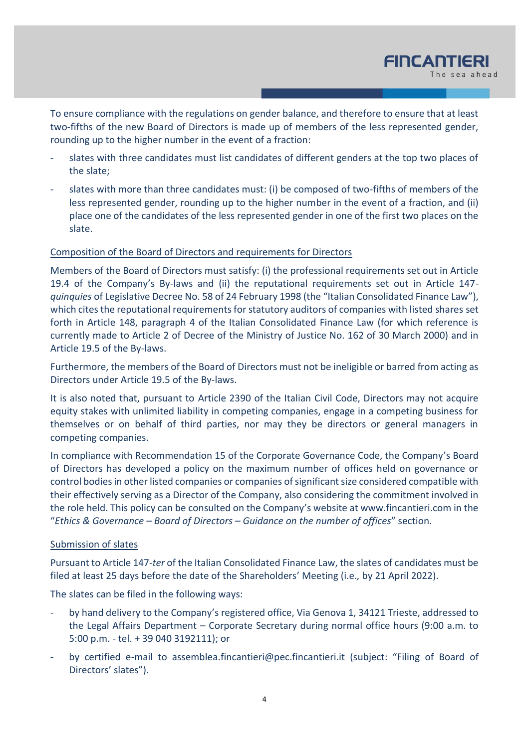

To ensure compliance with the regulations on gender balance, and therefore to ensure that at least two-fifths of the new Board of Directors is made up of members of the less represented gender, rounding up to the higher number in the event of a fraction:

- slates with three candidates must list candidates of different genders at the top two places of the slate;
- slates with more than three candidates must: (i) be composed of two-fifths of members of the less represented gender, rounding up to the higher number in the event of a fraction, and (ii) place one of the candidates of the less represented gender in one of the first two places on the slate.

### Composition of the Board of Directors and requirements for Directors

Members of the Board of Directors must satisfy: (i) the professional requirements set out in Article 19.4 of the Company's By-laws and (ii) the reputational requirements set out in Article 147 *quinquies* of Legislative Decree No. 58 of 24 February 1998 (the "Italian Consolidated Finance Law"), which cites the reputational requirements for statutory auditors of companies with listed shares set forth in Article 148, paragraph 4 of the Italian Consolidated Finance Law (for which reference is currently made to Article 2 of Decree of the Ministry of Justice No. 162 of 30 March 2000) and in Article 19.5 of the By-laws.

Furthermore, the members of the Board of Directors must not be ineligible or barred from acting as Directors under Article 19.5 of the By-laws.

It is also noted that, pursuant to Article 2390 of the Italian Civil Code, Directors may not acquire equity stakes with unlimited liability in competing companies, engage in a competing business for themselves or on behalf of third parties, nor may they be directors or general managers in competing companies.

In compliance with Recommendation 15 of the Corporate Governance Code, the Company's Board of Directors has developed a policy on the maximum number of offices held on governance or control bodies in other listed companies or companies of significant size considered compatible with their effectively serving as a Director of the Company, also considering the commitment involved in the role held. This policy can be consulted on the Company's website at www.fincantieri.com in the "*Ethics & Governance – Board of Directors – Guidance on the number of offices*" section.

# Submission of slates

Pursuant to Article 147-*ter* of the Italian Consolidated Finance Law, the slates of candidates must be filed at least 25 days before the date of the Shareholders' Meeting (i.e.*,* by 21 April 2022).

The slates can be filed in the following ways:

- by hand delivery to the Company's registered office, Via Genova 1, 34121 Trieste, addressed to the Legal Affairs Department – Corporate Secretary during normal office hours (9:00 a.m. to 5:00 p.m. - tel. + 39 040 3192111); or
- by certified e-mail to assemblea.fincantieri@pec.fincantieri.it (subject: "Filing of Board of Directors' slates").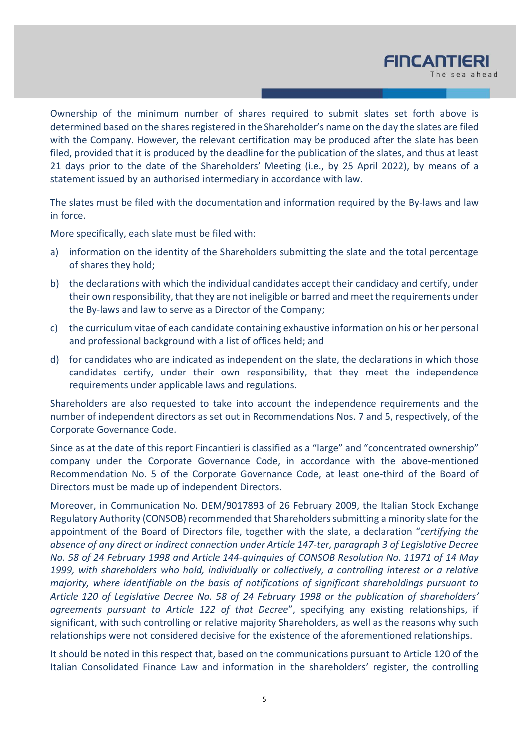

Ownership of the minimum number of shares required to submit slates set forth above is determined based on the shares registered in the Shareholder's name on the day the slates are filed with the Company. However, the relevant certification may be produced after the slate has been filed, provided that it is produced by the deadline for the publication of the slates, and thus at least 21 days prior to the date of the Shareholders' Meeting (i.e., by 25 April 2022), by means of a statement issued by an authorised intermediary in accordance with law.

The slates must be filed with the documentation and information required by the By-laws and law in force.

More specifically, each slate must be filed with:

- a) information on the identity of the Shareholders submitting the slate and the total percentage of shares they hold;
- b) the declarations with which the individual candidates accept their candidacy and certify, under their own responsibility, that they are not ineligible or barred and meet the requirements under the By-laws and law to serve as a Director of the Company;
- c) the curriculum vitae of each candidate containing exhaustive information on his or her personal and professional background with a list of offices held; and
- d) for candidates who are indicated as independent on the slate, the declarations in which those candidates certify, under their own responsibility, that they meet the independence requirements under applicable laws and regulations.

Shareholders are also requested to take into account the independence requirements and the number of independent directors as set out in Recommendations Nos. 7 and 5, respectively, of the Corporate Governance Code.

Since as at the date of this report Fincantieri is classified as a "large" and "concentrated ownership" company under the Corporate Governance Code, in accordance with the above-mentioned Recommendation No. 5 of the Corporate Governance Code, at least one-third of the Board of Directors must be made up of independent Directors.

Moreover, in Communication No. DEM/9017893 of 26 February 2009, the Italian Stock Exchange Regulatory Authority (CONSOB) recommended that Shareholders submitting a minority slate for the appointment of the Board of Directors file, together with the slate, a declaration "*certifying the absence of any direct or indirect connection under Article 147-ter, paragraph 3 of Legislative Decree No. 58 of 24 February 1998 and Article 144-quinquies of CONSOB Resolution No. 11971 of 14 May 1999, with shareholders who hold, individually or collectively, a controlling interest or a relative majority, where identifiable on the basis of notifications of significant shareholdings pursuant to Article 120 of Legislative Decree No. 58 of 24 February 1998 or the publication of shareholders' agreements pursuant to Article 122 of that Decree*", specifying any existing relationships, if significant, with such controlling or relative majority Shareholders, as well as the reasons why such relationships were not considered decisive for the existence of the aforementioned relationships.

It should be noted in this respect that, based on the communications pursuant to Article 120 of the Italian Consolidated Finance Law and information in the shareholders' register, the controlling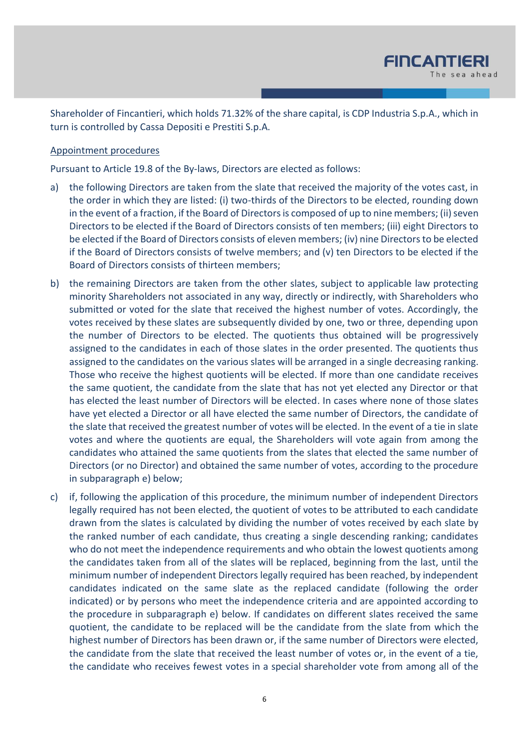

Shareholder of Fincantieri, which holds 71.32% of the share capital, is CDP Industria S.p.A., which in turn is controlled by Cassa Depositi e Prestiti S.p.A.

#### Appointment procedures

Pursuant to Article 19.8 of the By-laws, Directors are elected as follows:

- a) the following Directors are taken from the slate that received the majority of the votes cast, in the order in which they are listed: (i) two-thirds of the Directors to be elected, rounding down in the event of a fraction, if the Board of Directors is composed of up to nine members; (ii) seven Directors to be elected if the Board of Directors consists of ten members; (iii) eight Directors to be elected if the Board of Directors consists of eleven members; (iv) nine Directors to be elected if the Board of Directors consists of twelve members; and (v) ten Directors to be elected if the Board of Directors consists of thirteen members;
- b) the remaining Directors are taken from the other slates, subject to applicable law protecting minority Shareholders not associated in any way, directly or indirectly, with Shareholders who submitted or voted for the slate that received the highest number of votes. Accordingly, the votes received by these slates are subsequently divided by one, two or three, depending upon the number of Directors to be elected. The quotients thus obtained will be progressively assigned to the candidates in each of those slates in the order presented. The quotients thus assigned to the candidates on the various slates will be arranged in a single decreasing ranking. Those who receive the highest quotients will be elected. If more than one candidate receives the same quotient, the candidate from the slate that has not yet elected any Director or that has elected the least number of Directors will be elected. In cases where none of those slates have yet elected a Director or all have elected the same number of Directors, the candidate of the slate that received the greatest number of votes will be elected. In the event of a tie in slate votes and where the quotients are equal, the Shareholders will vote again from among the candidates who attained the same quotients from the slates that elected the same number of Directors (or no Director) and obtained the same number of votes, according to the procedure in subparagraph e) below;
- c) if, following the application of this procedure, the minimum number of independent Directors legally required has not been elected, the quotient of votes to be attributed to each candidate drawn from the slates is calculated by dividing the number of votes received by each slate by the ranked number of each candidate, thus creating a single descending ranking; candidates who do not meet the independence requirements and who obtain the lowest quotients among the candidates taken from all of the slates will be replaced, beginning from the last, until the minimum number of independent Directors legally required has been reached, by independent candidates indicated on the same slate as the replaced candidate (following the order indicated) or by persons who meet the independence criteria and are appointed according to the procedure in subparagraph e) below. If candidates on different slates received the same quotient, the candidate to be replaced will be the candidate from the slate from which the highest number of Directors has been drawn or, if the same number of Directors were elected, the candidate from the slate that received the least number of votes or, in the event of a tie, the candidate who receives fewest votes in a special shareholder vote from among all of the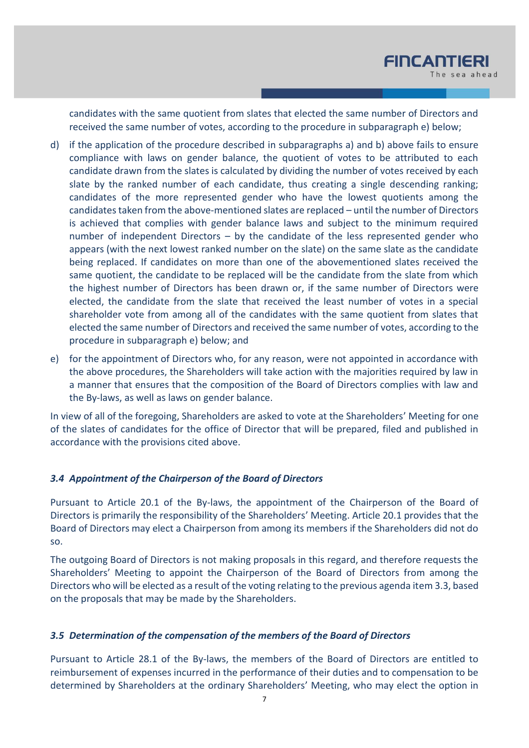candidates with the same quotient from slates that elected the same number of Directors and received the same number of votes, according to the procedure in subparagraph e) below;

- d) if the application of the procedure described in subparagraphs a) and b) above fails to ensure compliance with laws on gender balance, the quotient of votes to be attributed to each candidate drawn from the slates is calculated by dividing the number of votes received by each slate by the ranked number of each candidate, thus creating a single descending ranking; candidates of the more represented gender who have the lowest quotients among the candidates taken from the above-mentioned slates are replaced – until the number of Directors is achieved that complies with gender balance laws and subject to the minimum required number of independent Directors – by the candidate of the less represented gender who appears (with the next lowest ranked number on the slate) on the same slate as the candidate being replaced. If candidates on more than one of the abovementioned slates received the same quotient, the candidate to be replaced will be the candidate from the slate from which the highest number of Directors has been drawn or, if the same number of Directors were elected, the candidate from the slate that received the least number of votes in a special shareholder vote from among all of the candidates with the same quotient from slates that elected the same number of Directors and received the same number of votes, according to the procedure in subparagraph e) below; and
- e) for the appointment of Directors who, for any reason, were not appointed in accordance with the above procedures, the Shareholders will take action with the majorities required by law in a manner that ensures that the composition of the Board of Directors complies with law and the By-laws, as well as laws on gender balance.

In view of all of the foregoing, Shareholders are asked to vote at the Shareholders' Meeting for one of the slates of candidates for the office of Director that will be prepared, filed and published in accordance with the provisions cited above.

# *3.4 Appointment of the Chairperson of the Board of Directors*

Pursuant to Article 20.1 of the By-laws, the appointment of the Chairperson of the Board of Directors is primarily the responsibility of the Shareholders' Meeting. Article 20.1 provides that the Board of Directors may elect a Chairperson from among its members if the Shareholders did not do so.

The outgoing Board of Directors is not making proposals in this regard, and therefore requests the Shareholders' Meeting to appoint the Chairperson of the Board of Directors from among the Directors who will be elected as a result of the voting relating to the previous agenda item 3.3, based on the proposals that may be made by the Shareholders.

# *3.5 Determination of the compensation of the members of the Board of Directors*

Pursuant to Article 28.1 of the By-laws, the members of the Board of Directors are entitled to reimbursement of expenses incurred in the performance of their duties and to compensation to be determined by Shareholders at the ordinary Shareholders' Meeting, who may elect the option in